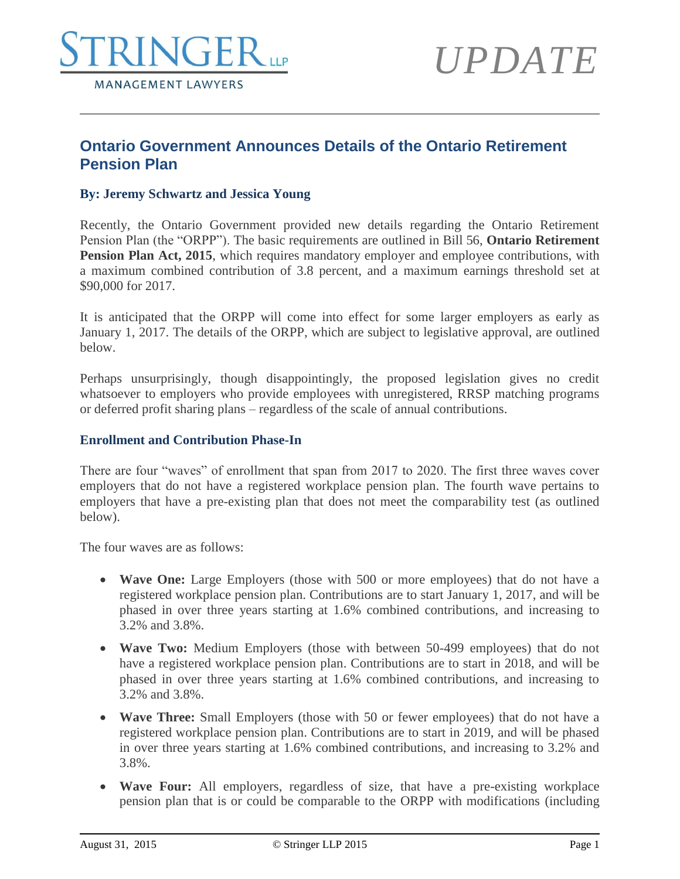

# *UPDATE*

# **Ontario Government Announces Details of the Ontario Retirement Pension Plan**

# **By: Jeremy Schwartz and Jessica Young**

Recently, the Ontario Government provided new details regarding the Ontario Retirement Pension Plan (the "ORPP"). The basic requirements are outlined in Bill 56, **Ontario Retirement Pension Plan Act, 2015**, which requires mandatory employer and employee contributions, with a maximum combined contribution of 3.8 percent, and a maximum earnings threshold set at \$90,000 for 2017.

It is anticipated that the ORPP will come into effect for some larger employers as early as January 1, 2017. The details of the ORPP, which are subject to legislative approval, are outlined below.

Perhaps unsurprisingly, though disappointingly, the proposed legislation gives no credit whatsoever to employers who provide employees with unregistered, RRSP matching programs or deferred profit sharing plans – regardless of the scale of annual contributions.

# **Enrollment and Contribution Phase-In**

There are four "waves" of enrollment that span from 2017 to 2020. The first three waves cover employers that do not have a registered workplace pension plan. The fourth wave pertains to employers that have a pre-existing plan that does not meet the comparability test (as outlined below).

The four waves are as follows:

- **Wave One:** Large Employers (those with 500 or more employees) that do not have a registered workplace pension plan. Contributions are to start January 1, 2017, and will be phased in over three years starting at 1.6% combined contributions, and increasing to 3.2% and 3.8%.
- **Wave Two:** Medium Employers (those with between 50-499 employees) that do not have a registered workplace pension plan. Contributions are to start in 2018, and will be phased in over three years starting at 1.6% combined contributions, and increasing to 3.2% and 3.8%.
- **Wave Three:** Small Employers (those with 50 or fewer employees) that do not have a registered workplace pension plan. Contributions are to start in 2019, and will be phased in over three years starting at 1.6% combined contributions, and increasing to 3.2% and 3.8%.
- **Wave Four:** All employers, regardless of size, that have a pre-existing workplace pension plan that is or could be comparable to the ORPP with modifications (including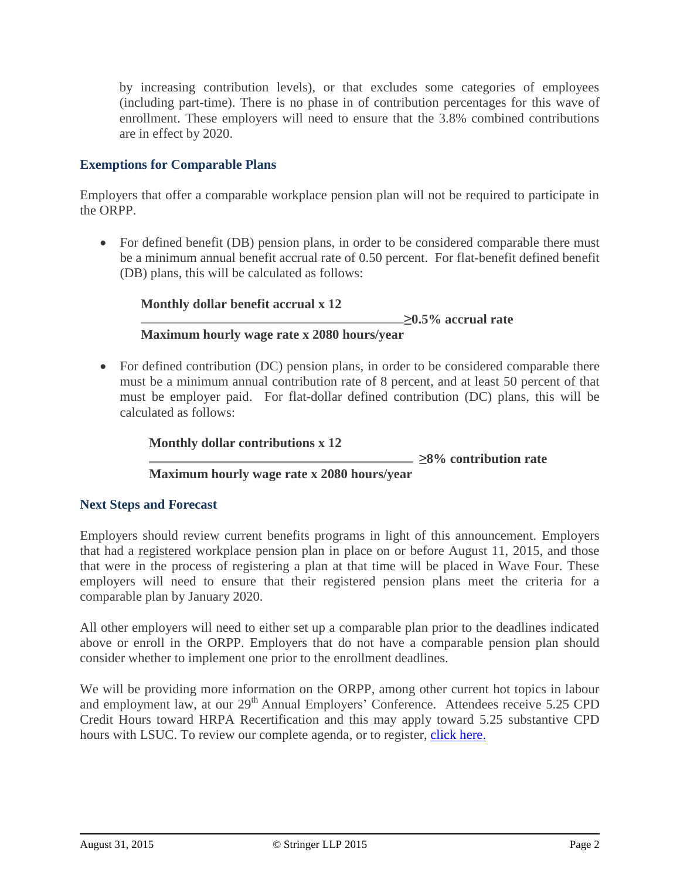by increasing contribution levels), or that excludes some categories of employees (including part-time). There is no phase in of contribution percentages for this wave of enrollment. These employers will need to ensure that the 3.8% combined contributions are in effect by 2020.

# **Exemptions for Comparable Plans**

Employers that offer a comparable workplace pension plan will not be required to participate in the ORPP.

• For defined benefit (DB) pension plans, in order to be considered comparable there must be a minimum annual benefit accrual rate of 0.50 percent. For flat-benefit defined benefit (DB) plans, this will be calculated as follows:

**Monthly dollar benefit accrual x 12 ≥0.5% accrual rate Maximum hourly wage rate x 2080 hours/year**

• For defined contribution (DC) pension plans, in order to be considered comparable there must be a minimum annual contribution rate of 8 percent, and at least 50 percent of that must be employer paid. For flat-dollar defined contribution (DC) plans, this will be calculated as follows:

**Monthly dollar contributions x 12**

 $\geq$  8% contribution rate

# **Maximum hourly wage rate x 2080 hours/year**

# **Next Steps and Forecast**

Employers should review current benefits programs in light of this announcement. Employers that had a registered workplace pension plan in place on or before August 11, 2015, and those that were in the process of registering a plan at that time will be placed in Wave Four. These employers will need to ensure that their registered pension plans meet the criteria for a comparable plan by January 2020.

All other employers will need to either set up a comparable plan prior to the deadlines indicated above or enroll in the ORPP. Employers that do not have a comparable pension plan should consider whether to implement one prior to the enrollment deadlines.

We will be providing more information on the ORPP, among other current hot topics in labour and employment law, at our 29<sup>th</sup> Annual Employers' Conference. Attendees receive 5.25 CPD Credit Hours toward HRPA Recertification and this may apply toward 5.25 substantive CPD hours with LSUC. To review our complete agenda, or to register, [click here.](http://www.stringerllp.com/seminars-events/29th-annual-employers-conference)